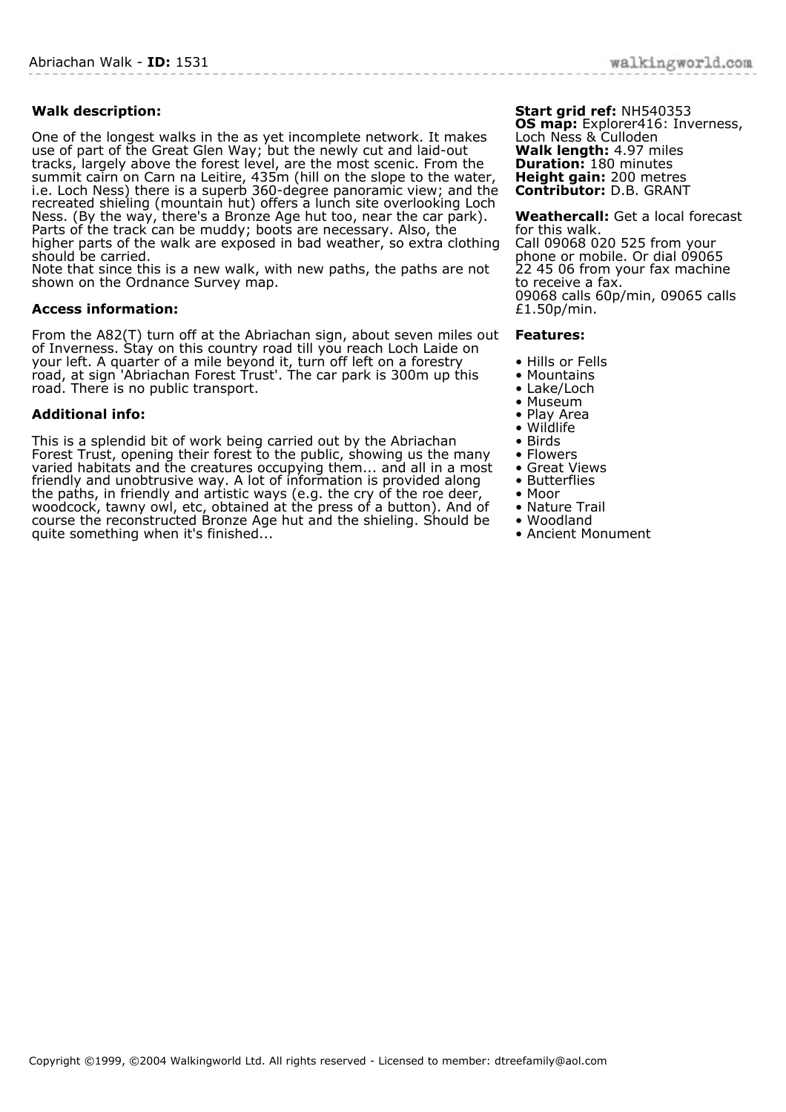## **Walk description:**

One of the longest walks in the as yet incomplete network. It makes use of part of the Great Glen Way; but the newly cut and laid-out tracks, largely above the forest level, are the most scenic. From the summit cairn on Carn na Leitire, 435m (hill on the slope to the water, i.e. Loch Ness) there is a superb 360-degree panoramic view; and the recreated shieling (mountain hut) offers a lunch site overlooking Loch Ness. (By the way, there's a Bronze Age hut too, near the car park). Parts of the track can be muddy; boots are necessary. Also, the higher parts of the walk are exposed in bad weather, so extra clothing should be carried.

Note that since this is a new walk, with new paths, the paths are not shown on the Ordnance Survey map.

## **Access information:**

From the A82(T) turn off at the Abriachan sign, about seven miles out of Inverness. Stay on this country road till you reach Loch Laide on your left. A quarter of a mile beyond it, turn off left on a forestry road, at sign 'Abriachan Forest Trust'. The car park is 300m up this road. There is no public transport.

## **Additional info:**

This is a splendid bit of work being carried out by the Abriachan Forest Trust, opening their forest to the public, showing us the many varied habitats and the creatures occupying them... and all in a most friendly and unobtrusive way. A lot of information is provided along the paths, in friendly and artistic ways (e.g. the cry of the roe deer, woodcock, tawny owl, etc, obtained at the press of a button). And of course the reconstructed Bronze Age hut and the shieling. Should be quite something when it's finished...

**Start grid ref:** NH540353 **OS map:** Explorer416: Inverness, Loch Ness & Culloden **Walk length:** 4.97 miles **Duration:** 180 minutes **Height gain:** 200 metres **Contributor:** D.B. GRANT

**Weathercall:** Get a local forecast for this walk. Call 09068 020 525 from your phone or mobile. Or dial 09065 22 45 06 from your fax machine to receive a fax. 09068 calls 60p/min, 09065 calls £1.50p/min.

## **Features:**

- Hills or Fells
- Mountains
- Lake/Loch
- Museum
- Play Area
- Wildlife • Birds
- 
- Flowers • Great Views
- Butterflies
- Moor
- Nature Trail
- Woodland
- Ancient Monument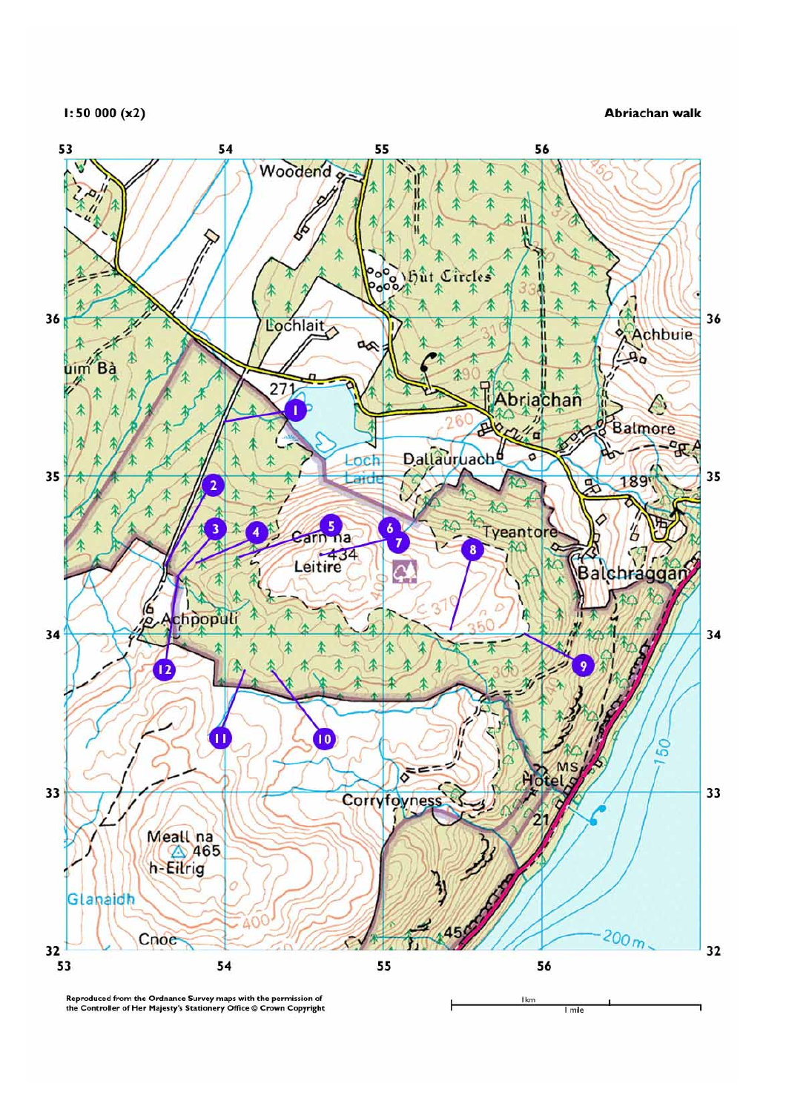$1:50000(x2)$ 

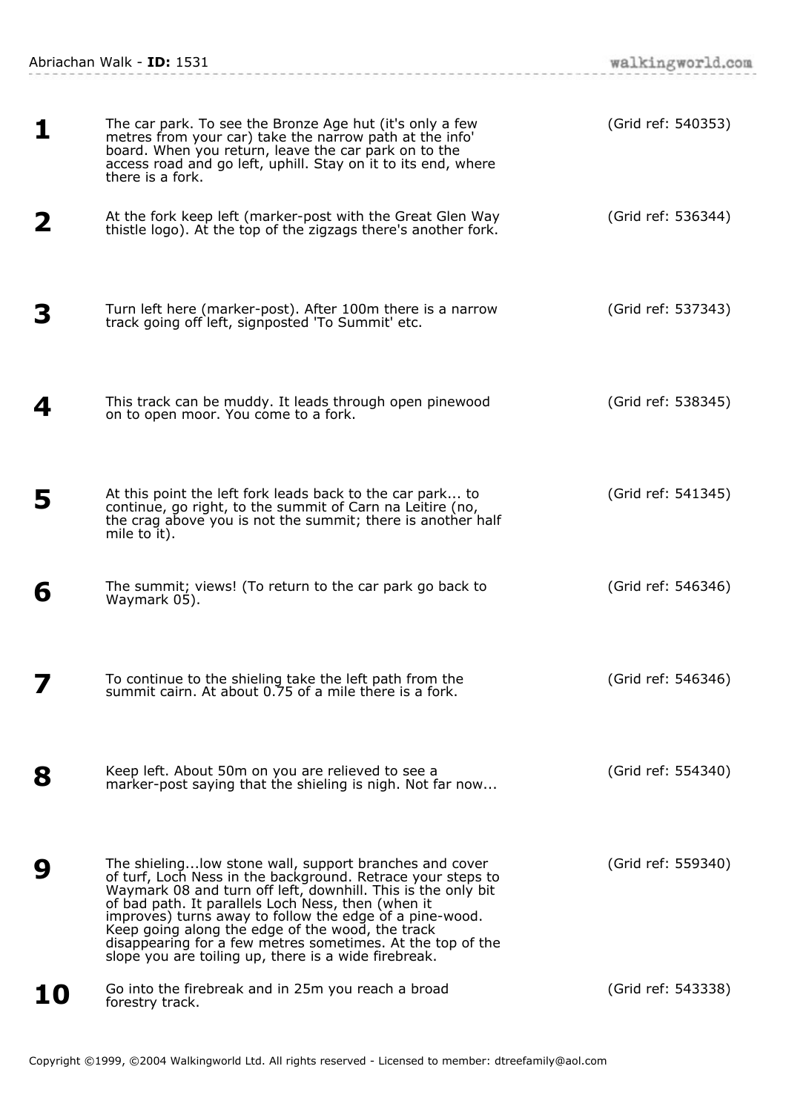Abriachan Walk - **ID:** 1531

| 1  | The car park. To see the Bronze Age hut (it's only a few<br>metres from your car) take the narrow path at the info'<br>board. When you return, leave the car park on to the<br>access road and go left, uphill. Stay on it to its end, where<br>there is a fork.                                                                                                                                                                                                                  | (Grid ref: 540353) |
|----|-----------------------------------------------------------------------------------------------------------------------------------------------------------------------------------------------------------------------------------------------------------------------------------------------------------------------------------------------------------------------------------------------------------------------------------------------------------------------------------|--------------------|
| 2  | At the fork keep left (marker-post with the Great Glen Way<br>thistle logo). At the top of the zigzags there's another fork.                                                                                                                                                                                                                                                                                                                                                      | (Grid ref: 536344) |
| З  | Turn left here (marker-post). After 100m there is a narrow<br>track going off left, signposted 'To Summit' etc.                                                                                                                                                                                                                                                                                                                                                                   | (Grid ref: 537343) |
| 4  | This track can be muddy. It leads through open pinewood<br>on to open moor. You come to a fork.                                                                                                                                                                                                                                                                                                                                                                                   | (Grid ref: 538345) |
| 5  | At this point the left fork leads back to the car park to<br>continue, go right, to the summit of Carn na Leitire (no,<br>the crag above you is not the summit; there is another half<br>mile to it).                                                                                                                                                                                                                                                                             | (Grid ref: 541345) |
| 6  | The summit; views! (To return to the car park go back to<br>Waymark 05).                                                                                                                                                                                                                                                                                                                                                                                                          | (Grid ref: 546346) |
|    | To continue to the shieling take the left path from the<br>summit cairn. At about 0.75 of a mile there is a fork.                                                                                                                                                                                                                                                                                                                                                                 | (Grid ref: 546346) |
| 8  | Keep left. About 50m on you are relieved to see a<br>marker-post saying that the shieling is nigh. Not far now                                                                                                                                                                                                                                                                                                                                                                    | (Grid ref: 554340) |
| 9  | The shieling low stone wall, support branches and cover<br>of turf, Loch Ness in the background. Retrace your steps to<br>Waymark 08 and turn off left, downhill. This is the only bit<br>of bad path. It parallels Loch Ness, then (when it<br>improves) turns away to follow the edge of a pine-wood.<br>Keep going along the edge of the wood, the track<br>disappearing for a few metres sometimes. At the top of the<br>slope you are toiling up, there is a wide firebreak. | (Grid ref: 559340) |
| 10 | Go into the firebreak and in 25m you reach a broad<br>forestry track.                                                                                                                                                                                                                                                                                                                                                                                                             | (Grid ref: 543338) |